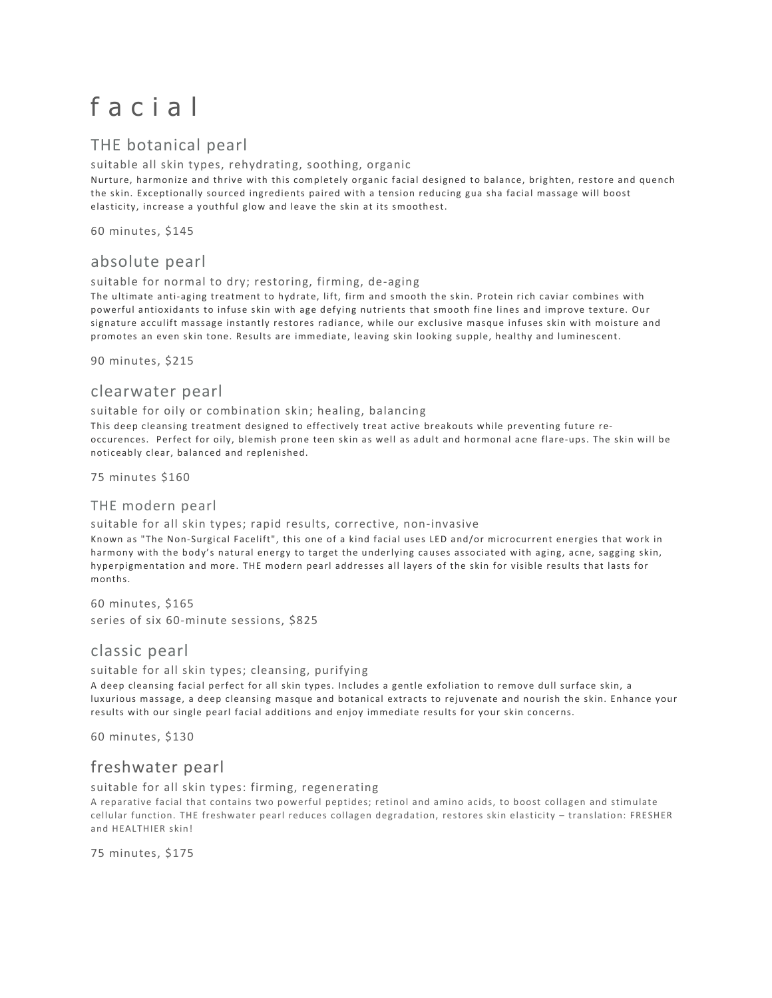# f a c i a l

## THE botanical pearl

#### suitable all skin types, rehydrating, soothing, organic

Nurture, harmonize and thrive with this completely organic facial designed to balance, brighten, restore and quench the skin. Exceptionally sourced ingredients paired with a tension reducing gua sha facial massage will boost elasticity, increase a youthful glow and leave the skin at its smoothest.

60 minutes, \$145

## absolute pearl

#### suitable for normal to dry; restoring, firming, de-aging

The ultimate anti-aging treatment to hydrate, lift, firm and smooth the skin. Protein rich caviar combines with powerful antioxidants to infuse skin with age defying nutrients that smooth fine lines and improve texture. Our signature acculift massage instantly restores radiance, while our exclusive masque infuses skin with moisture and promotes an even skin tone. Results are immediate, leaving skin looking supple, healthy and luminescent.

90 minutes, \$215

## clearwater pearl

#### suitable for oily or combination skin; healing, balancing

This deep cleansing treatment designed to effectively treat active breakouts while preventing future reoccurences. Perfect for oily, blemish prone teen skin as well as adult and hormonal acne flare-ups. The skin will be noticeably clear, balanced and replenished.

75 minutes \$160

### THE modern pearl

#### suitable for all skin types; rapid results, corrective, non-invasive

Known as "The Non-Surgical Facelift", this one of a kind facial uses LED and/or microcurrent energies that work in harmony with the body's natural energy to target the underlying causes associated with aging, acne, sagging skin, hyperpigmentation and more. THE modern pearl addresses all layers of the skin for visible results that lasts for months.

60 minutes, \$165 series of six 60-minute sessions, \$825

## classic pearl

#### suitable for all skin types; cleansing, purifying

A deep cleansing facial perfect for all skin types. Includes a gentle exfoliation to remove dull surface skin, a luxurious massage, a deep cleansing masque and botanical extracts to rejuvenate and nourish the skin. Enhance your results with our single pearl facial additions and enjoy immediate results for your skin concerns.

60 minutes, \$130

## freshwater pearl

#### suitable for all skin types: firming, regenerating

A reparative facial that contains two powerful peptides; retinol and amino acids, to boost collagen and stimulate cellular function. THE freshwater pearl reduces collagen degradation, restores skin elasticity – translation: FRESHER and HEALTHIER skin!

75 minutes, \$175